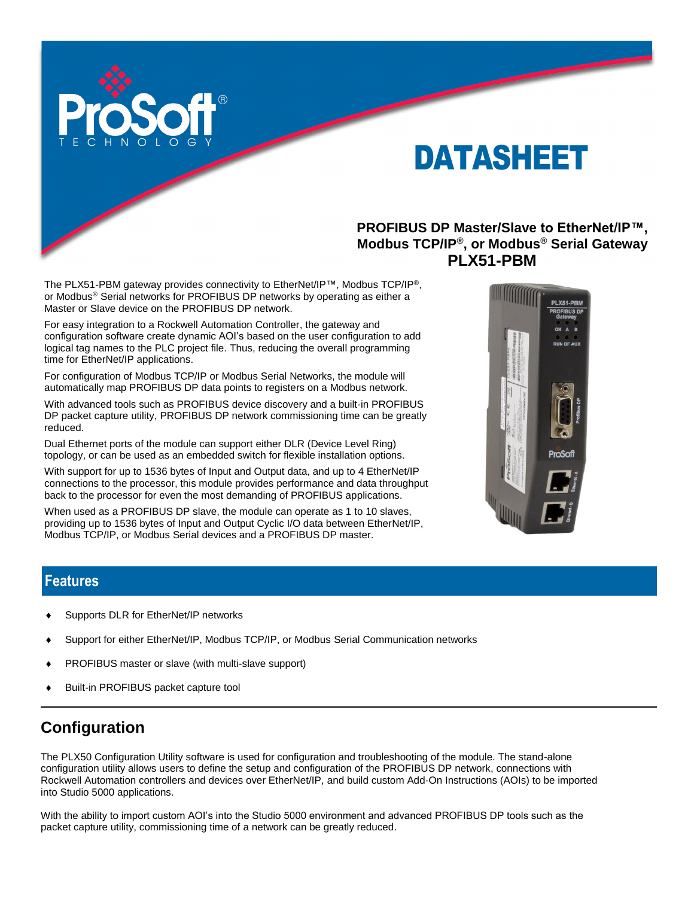

# DATASHEET

**PROFIBUS DP Master/Slave to EtherNet/IP™, Modbus TCP/IP®, or Modbus® Serial Gateway PLX51-PBM**

The PLX51-PBM gateway provides connectivity to EtherNet/IP™, Modbus TCP/IP®, or Modbus® Serial networks for PROFIBUS DP networks by operating as either a Master or Slave device on the PROFIBUS DP network.

For easy integration to a Rockwell Automation Controller, the gateway and configuration software create dynamic AOI's based on the user configuration to add logical tag names to the PLC project file. Thus, reducing the overall programming time for EtherNet/IP applications.

For configuration of Modbus TCP/IP or Modbus Serial Networks, the module will automatically map PROFIBUS DP data points to registers on a Modbus network.

With advanced tools such as PROFIBUS device discovery and a built-in PROFIBUS DP packet capture utility, PROFIBUS DP network commissioning time can be greatly reduced.

Dual Ethernet ports of the module can support either DLR (Device Level Ring) topology, or can be used as an embedded switch for flexible installation options.

With support for up to 1536 bytes of Input and Output data, and up to 4 EtherNet/IP connections to the processor, this module provides performance and data throughput back to the processor for even the most demanding of PROFIBUS applications.

When used as a PROFIBUS DP slave, the module can operate as 1 to 10 slaves, providing up to 1536 bytes of Input and Output Cyclic I/O data between EtherNet/IP, Modbus TCP/IP, or Modbus Serial devices and a PROFIBUS DP master.



#### **Features**

- Supports DLR for EtherNet/IP networks
- Support for either EtherNet/IP, Modbus TCP/IP, or Modbus Serial Communication networks
- PROFIBUS master or slave (with multi-slave support)
- Built-in PROFIBUS packet capture tool

### **Configuration**

The PLX50 Configuration Utility software is used for configuration and troubleshooting of the module. The stand-alone configuration utility allows users to define the setup and configuration of the PROFIBUS DP network, connections with Rockwell Automation controllers and devices over EtherNet/IP, and build custom Add-On Instructions (AOIs) to be imported into Studio 5000 applications.

With the ability to import custom AOI's into the Studio 5000 environment and advanced PROFIBUS DP tools such as the packet capture utility, commissioning time of a network can be greatly reduced.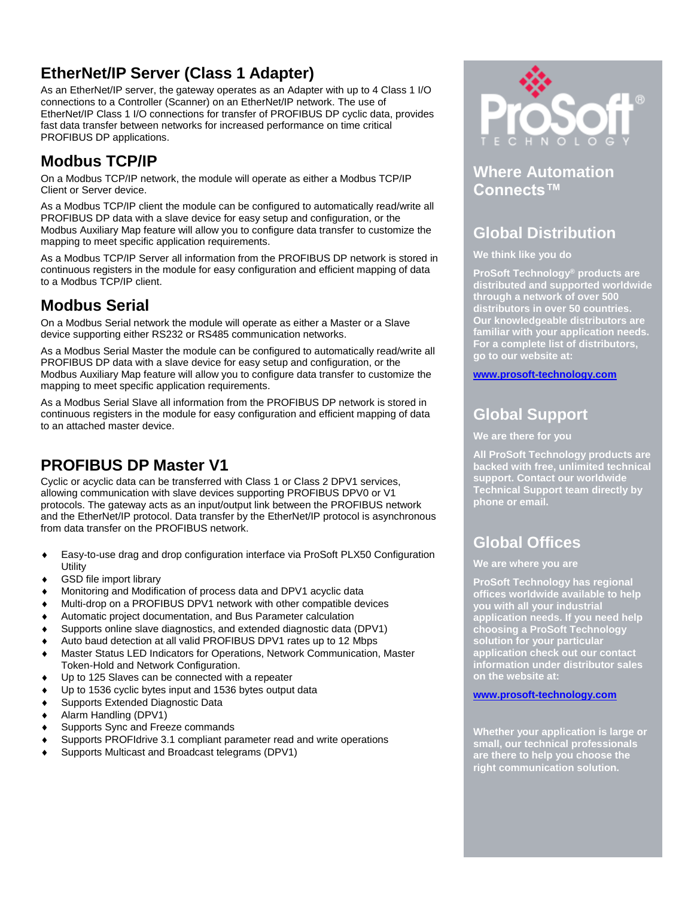# **EtherNet/IP Server (Class 1 Adapter)**

As an EtherNet/IP server, the gateway operates as an Adapter with up to 4 Class 1 I/O connections to a Controller (Scanner) on an EtherNet/IP network. The use of EtherNet/IP Class 1 I/O connections for transfer of PROFIBUS DP cyclic data, provides fast data transfer between networks for increased performance on time critical PROFIBUS DP applications.

### **Modbus TCP/IP**

On a Modbus TCP/IP network, the module will operate as either a Modbus TCP/IP Client or Server device.

As a Modbus TCP/IP client the module can be configured to automatically read/write all PROFIBUS DP data with a slave device for easy setup and configuration, or the Modbus Auxiliary Map feature will allow you to configure data transfer to customize the mapping to meet specific application requirements.

As a Modbus TCP/IP Server all information from the PROFIBUS DP network is stored in continuous registers in the module for easy configuration and efficient mapping of data to a Modbus TCP/IP client.

### **Modbus Serial**

On a Modbus Serial network the module will operate as either a Master or a Slave device supporting either RS232 or RS485 communication networks.

As a Modbus Serial Master the module can be configured to automatically read/write all PROFIBUS DP data with a slave device for easy setup and configuration, or the Modbus Auxiliary Map feature will allow you to configure data transfer to customize the mapping to meet specific application requirements.

As a Modbus Serial Slave all information from the PROFIBUS DP network is stored in continuous registers in the module for easy configuration and efficient mapping of data to an attached master device.

### **PROFIBUS DP Master V1**

Cyclic or acyclic data can be transferred with Class 1 or Class 2 DPV1 services, allowing communication with slave devices supporting PROFIBUS DPV0 or V1 protocols. The gateway acts as an input/output link between the PROFIBUS network and the EtherNet/IP protocol. Data transfer by the EtherNet/IP protocol is asynchronous from data transfer on the PROFIBUS network.

- Easy-to-use drag and drop configuration interface via ProSoft PLX50 Configuration **Utility**
- GSD file import library
- Monitoring and Modification of process data and DPV1 acyclic data
- Multi-drop on a PROFIBUS DPV1 network with other compatible devices
- Automatic project documentation, and Bus Parameter calculation
- Supports online slave diagnostics, and extended diagnostic data (DPV1)
- Auto baud detection at all valid PROFIBUS DPV1 rates up to 12 Mbps
- Master Status LED Indicators for Operations, Network Communication, Master Token-Hold and Network Configuration.
- Up to 125 Slaves can be connected with a repeater
- Up to 1536 cyclic bytes input and 1536 bytes output data
- Supports Extended Diagnostic Data
- Alarm Handling (DPV1)
- Supports Sync and Freeze commands
- Supports PROFIdrive 3.1 compliant parameter read and write operations
- Supports Multicast and Broadcast telegrams (DPV1)



#### **Where Automation Connects™**

## **Global Distribution**

**We think like you do**

**ProSoft Technology® products are distributed and supported worldwide through a network of over 500 distributors in over 50 countries. Our knowledgeable distributors are familiar with your application needs. For a complete list of distributors, go to our website at:**

**[www.prosoft-technology.com](http://www.prosofttechnology.com/)**

### **Global Support**

**We are there for you**

**All ProSoft Technology products are backed with free, unlimited technical support. Contact our worldwide Technical Support team directly by phone or email.**

# **Global Offices**

**We are where you are** 

**ProSoft Technology has regional offices worldwide available to help you with all your industrial application needs. If you need help choosing a ProSoft Technology solution for your particular application check out our contact information under distributor sales on the website at:**

#### **[www.prosoft-technology.com](http://www.prosoft-technology.com/)**

**Whether your application is large or small, our technical professionals are there to help you choose the right communication solution.**